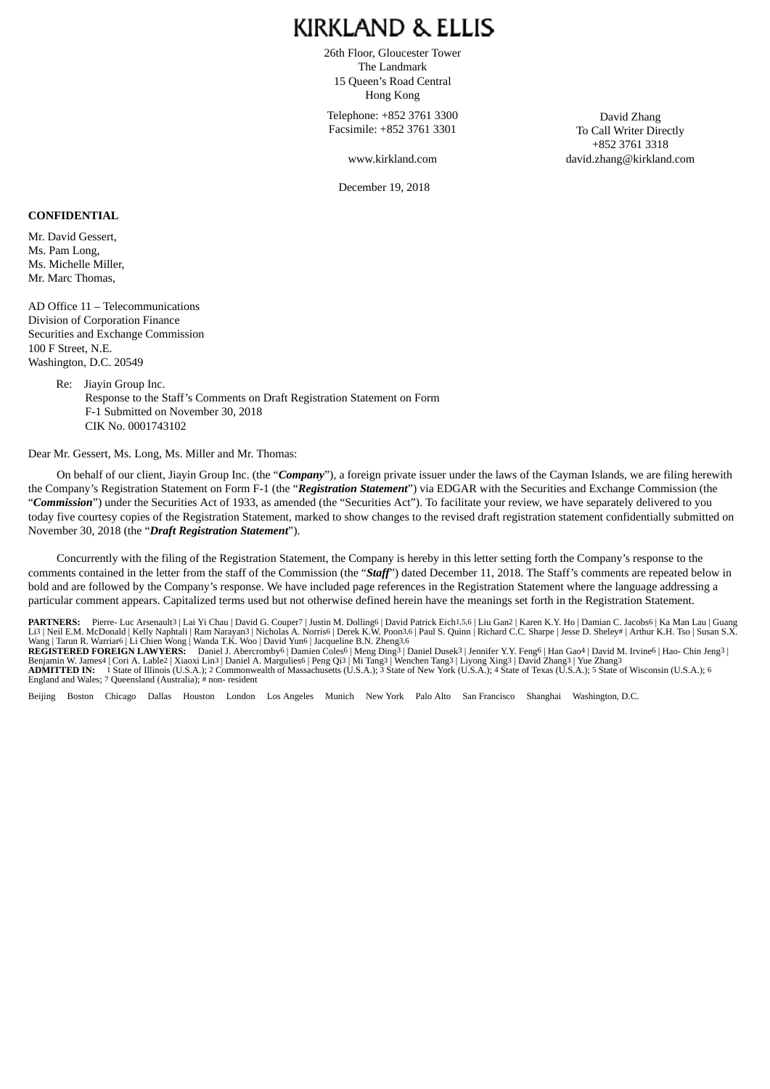26th Floor, Gloucester Tower The Landmark 15 Queen's Road Central Hong Kong

Telephone: +852 3761 3300 Facsimile: +852 3761 3301

www.kirkland.com

December 19, 2018

David Zhang To Call Writer Directly +852 3761 3318 david.zhang@kirkland.com

#### **CONFIDENTIAL**

Mr. David Gessert, Ms. Pam Long, Ms. Michelle Miller, Mr. Marc Thomas,

AD Office 11 – Telecommunications Division of Corporation Finance Securities and Exchange Commission 100 F Street, N.E. Washington, D.C. 20549

> Re: Jiayin Group Inc. Response to the Staff's Comments on Draft Registration Statement on Form F-1 Submitted on November 30, 2018 CIK No. 0001743102

Dear Mr. Gessert, Ms. Long, Ms. Miller and Mr. Thomas:

On behalf of our client, Jiayin Group Inc. (the "*Company*"), a foreign private issuer under the laws of the Cayman Islands, we are filing herewith the Company's Registration Statement on Form F-1 (the "*Registration Statement*") via EDGAR with the Securities and Exchange Commission (the "*Commission*") under the Securities Act of 1933, as amended (the "Securities Act"). To facilitate your review, we have separately delivered to you today five courtesy copies of the Registration Statement, marked to show changes to the revised draft registration statement confidentially submitted on November 30, 2018 (the "*Draft Registration Statement*").

Concurrently with the filing of the Registration Statement, the Company is hereby in this letter setting forth the Company's response to the comments contained in the letter from the staff of the Commission (the "*Staff*") dated December 11, 2018. The Staff's comments are repeated below in bold and are followed by the Company's response. We have included page references in the Registration Statement where the language addressing a particular comment appears. Capitalized terms used but not otherwise defined herein have the meanings set forth in the Registration Statement.

**PARTNERS:** Pierre- Luc Arsenault3 | Lai Yi Chau | David G. Couper7 | Justin M. Dolling6 | David Patrick Eich<sup>1,5,6</sup> | Liu Gan2 | Karen K.Y. Ho | Damian C. Jacobs6 | Ka Man Lau | Guang<br>Li3 | Neil E.M. McDonald | Kelly Naph

Wang | Tarun R. Warriar6 | Li Chien Wong | Wanda T.K. Woo | David Yun6 | Jacqueline B.N. Zheng3,6<br>REGISTERED FOREIGN LAWYERS: Daniel J. Abercromby6 | Damien Coles6 | Meng Ding3 | Daniel Dusek3 | Jennifer Y.Y. Feng6 | Han G

Beijing Boston Chicago Dallas Houston London Los Angeles Munich New York Palo Alto San Francisco Shanghai Washington, D.C.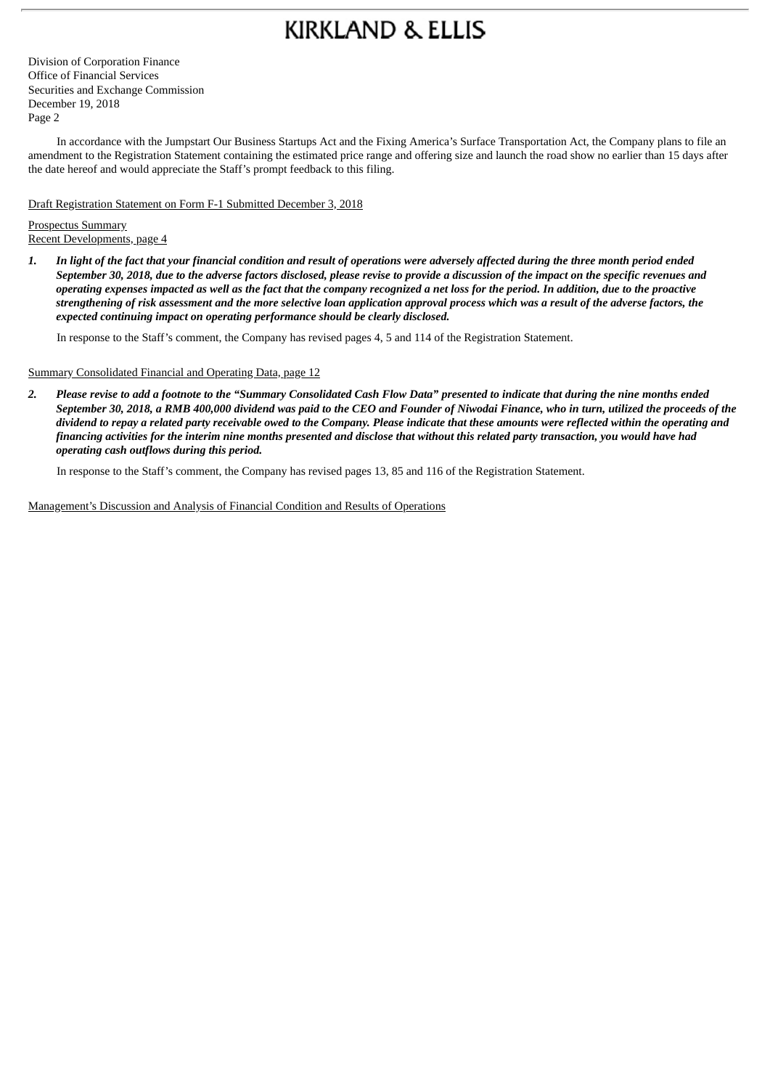Division of Corporation Finance Office of Financial Services Securities and Exchange Commission December 19, 2018 Page 2

In accordance with the Jumpstart Our Business Startups Act and the Fixing America's Surface Transportation Act, the Company plans to file an amendment to the Registration Statement containing the estimated price range and offering size and launch the road show no earlier than 15 days after the date hereof and would appreciate the Staff's prompt feedback to this filing.

Draft Registration Statement on Form F-1 Submitted December 3, 2018

Prospectus Summary

Recent Developments, page 4

1. In light of the fact that your financial condition and result of operations were adversely affected during the three month period ended September 30, 2018, due to the adverse factors disclosed, please revise to provide a discussion of the impact on the specific revenues and operating expenses impacted as well as the fact that the company recognized a net loss for the period. In addition, due to the proactive strengthening of risk assessment and the more selective loan application approval process which was a result of the adverse factors, the *expected continuing impact on operating performance should be clearly disclosed.*

In response to the Staff's comment, the Company has revised pages 4, 5 and 114 of the Registration Statement.

#### Summary Consolidated Financial and Operating Data, page 12

2. Please revise to add a footnote to the "Summary Consolidated Cash Flow Data" presented to indicate that during the nine months ended September 30, 2018, a RMB 400,000 dividend was paid to the CEO and Founder of Niwodai Finance, who in turn, utilized the proceeds of the dividend to repay a related party receivable owed to the Company. Please indicate that these amounts were reflected within the operating and financing activities for the interim nine months presented and disclose that without this related party transaction, you would have had *operating cash outflows during this period.*

In response to the Staff's comment, the Company has revised pages 13, 85 and 116 of the Registration Statement.

Management's Discussion and Analysis of Financial Condition and Results of Operations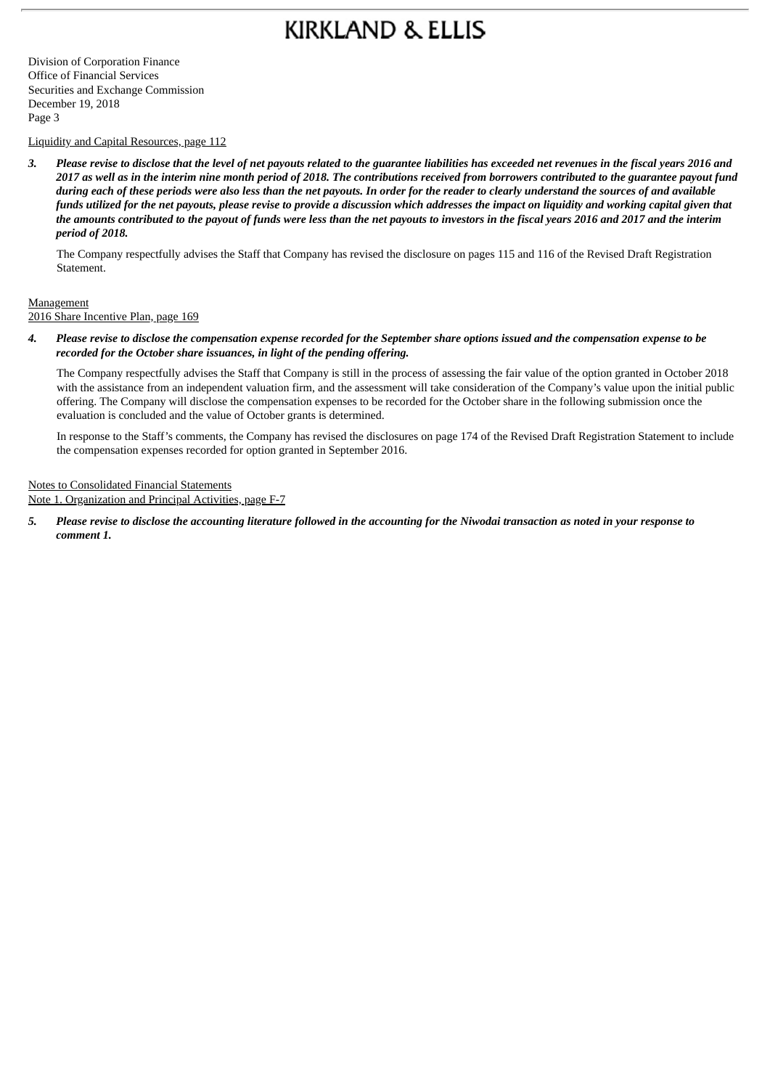Division of Corporation Finance Office of Financial Services Securities and Exchange Commission December 19, 2018 Page 3

Liquidity and Capital Resources, page 112

3. Please revise to disclose that the level of net payouts related to the quarantee liabilities has exceeded net revenues in the fiscal years 2016 and 2017 as well as in the interim nine month period of 2018. The contributions received from borrowers contributed to the guarantee payout fund during each of these periods were also less than the net payouts. In order for the reader to clearly understand the sources of and available funds utilized for the net payouts, please revise to provide a discussion which addresses the impact on liquidity and working capital given that the amounts contributed to the payout of funds were less than the net payouts to investors in the fiscal years 2016 and 2017 and the interim *period of 2018.*

The Company respectfully advises the Staff that Company has revised the disclosure on pages 115 and 116 of the Revised Draft Registration Statement.

#### **Management**

2016 Share Incentive Plan, page 169

4. Please revise to disclose the compensation expense recorded for the September share options issued and the compensation expense to be *recorded for the October share issuances, in light of the pending offering.*

The Company respectfully advises the Staff that Company is still in the process of assessing the fair value of the option granted in October 2018 with the assistance from an independent valuation firm, and the assessment will take consideration of the Company's value upon the initial public offering. The Company will disclose the compensation expenses to be recorded for the October share in the following submission once the evaluation is concluded and the value of October grants is determined.

In response to the Staff's comments, the Company has revised the disclosures on page 174 of the Revised Draft Registration Statement to include the compensation expenses recorded for option granted in September 2016.

Notes to Consolidated Financial Statements

Note 1. Organization and Principal Activities, page F-7

5. Please revise to disclose the accounting literature followed in the accounting for the Niwodai transaction as noted in your response to *comment 1.*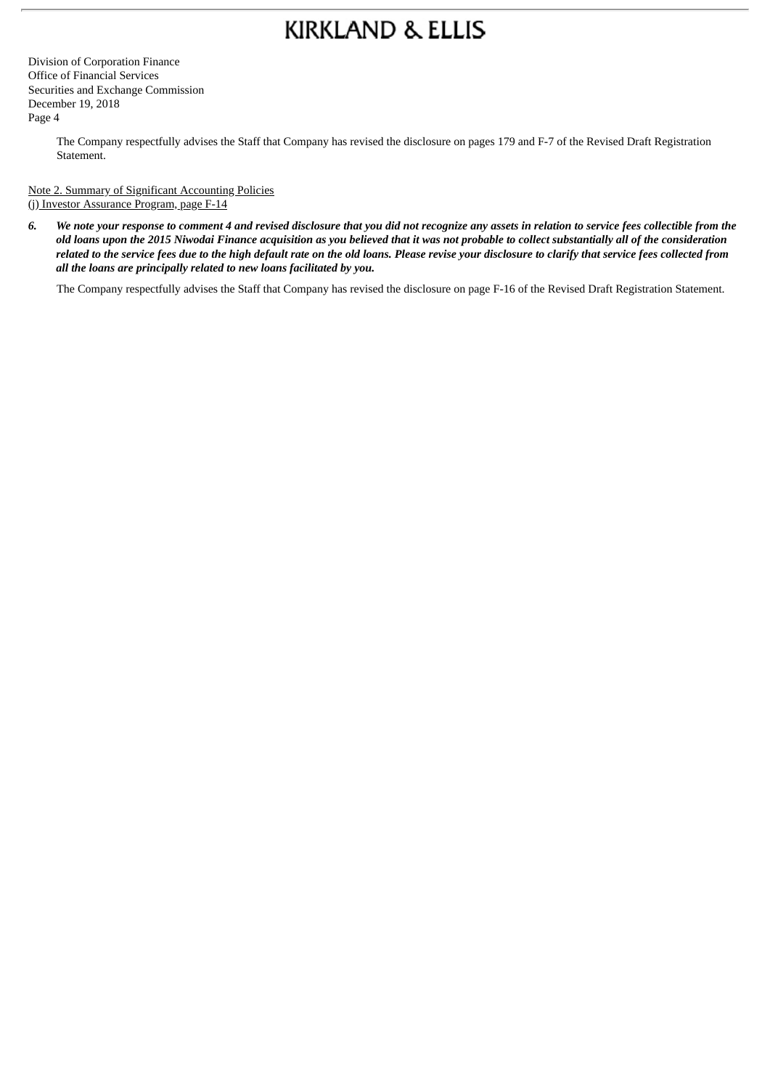Division of Corporation Finance Office of Financial Services Securities and Exchange Commission December 19, 2018 Page 4

> The Company respectfully advises the Staff that Company has revised the disclosure on pages 179 and F-7 of the Revised Draft Registration Statement.

Note 2. Summary of Significant Accounting Policies (j) Investor Assurance Program, page F-14

6. We note your response to comment 4 and revised disclosure that you did not recognize any assets in relation to service fees collectible from the old loans upon the 2015 Niwodai Finance acquisition as you believed that it was not probable to collect substantially all of the consideration related to the service fees due to the high default rate on the old loans. Please revise your disclosure to clarify that service fees collected from *all the loans are principally related to new loans facilitated by you.*

The Company respectfully advises the Staff that Company has revised the disclosure on page F-16 of the Revised Draft Registration Statement.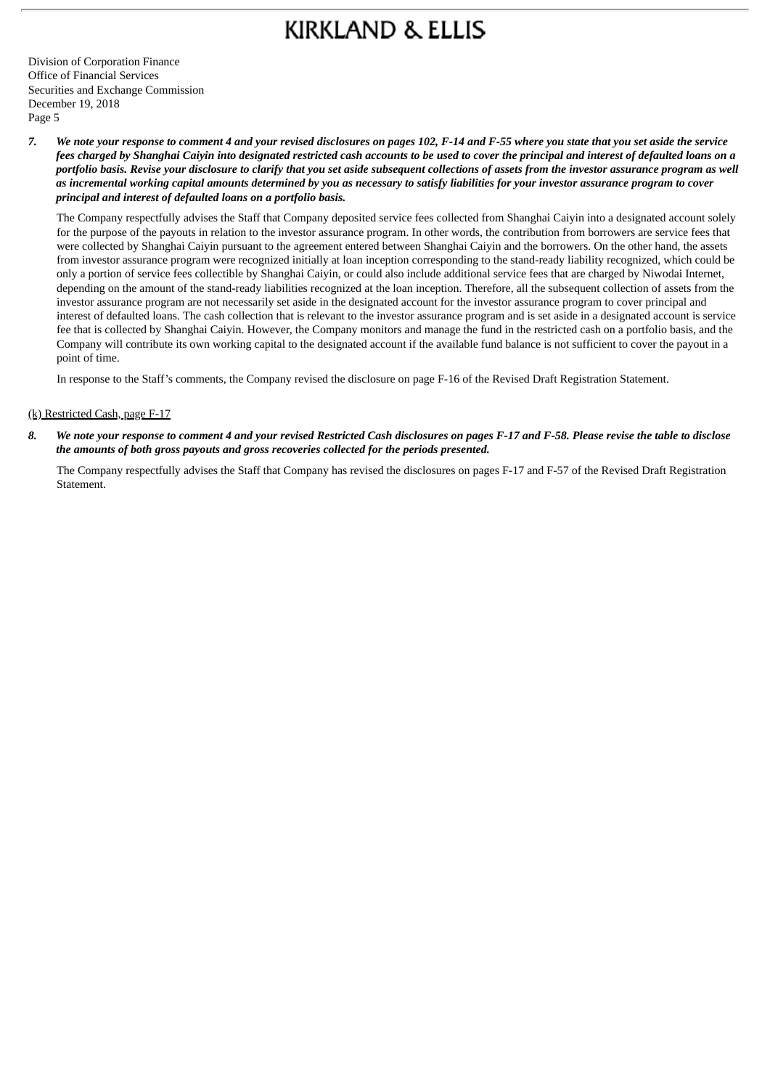Division of Corporation Finance Office of Financial Services Securities and Exchange Commission December 19, 2018 Page 5

7. We note your response to comment 4 and your revised disclosures on pages 102, F-14 and F-55 where you state that you set aside the service fees charged by Shanghai Caiyin into designated restricted cash accounts to be used to cover the principal and interest of defaulted loans on a portfolio basis. Revise your disclosure to clarify that you set aside subsequent collections of assets from the investor assurance program as well as incremental working capital amounts determined by you as necessary to satisfy liabilities for your investor assurance program to cover *principal and interest of defaulted loans on a portfolio basis.*

The Company respectfully advises the Staff that Company deposited service fees collected from Shanghai Caiyin into a designated account solely for the purpose of the payouts in relation to the investor assurance program. In other words, the contribution from borrowers are service fees that were collected by Shanghai Caiyin pursuant to the agreement entered between Shanghai Caiyin and the borrowers. On the other hand, the assets from investor assurance program were recognized initially at loan inception corresponding to the stand-ready liability recognized, which could be only a portion of service fees collectible by Shanghai Caiyin, or could also include additional service fees that are charged by Niwodai Internet, depending on the amount of the stand-ready liabilities recognized at the loan inception. Therefore, all the subsequent collection of assets from the investor assurance program are not necessarily set aside in the designated account for the investor assurance program to cover principal and interest of defaulted loans. The cash collection that is relevant to the investor assurance program and is set aside in a designated account is service fee that is collected by Shanghai Caiyin. However, the Company monitors and manage the fund in the restricted cash on a portfolio basis, and the Company will contribute its own working capital to the designated account if the available fund balance is not sufficient to cover the payout in a point of time.

In response to the Staff's comments, the Company revised the disclosure on page F-16 of the Revised Draft Registration Statement.

#### (k) Restricted Cash, page F-17

8. We note your response to comment 4 and your revised Restricted Cash disclosures on pages F-17 and F-58. Please revise the table to disclose *the amounts of both gross payouts and gross recoveries collected for the periods presented.*

The Company respectfully advises the Staff that Company has revised the disclosures on pages F-17 and F-57 of the Revised Draft Registration Statement.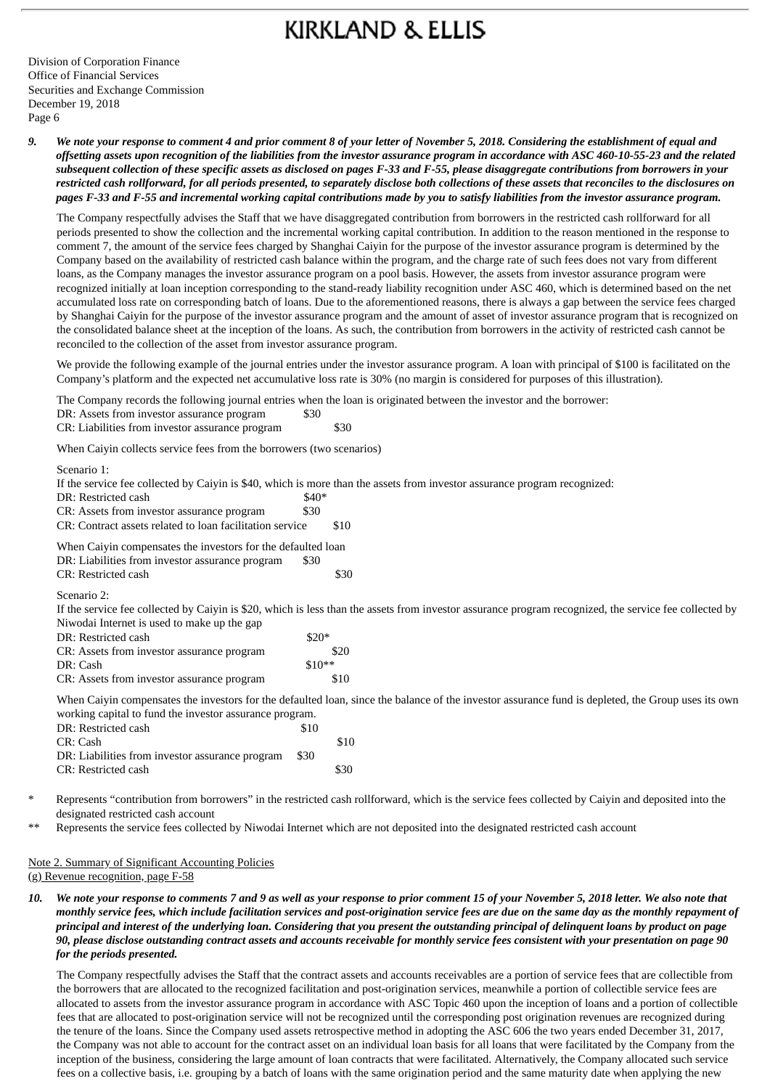Division of Corporation Finance Office of Financial Services Securities and Exchange Commission December 19, 2018 Page 6

9. We note your response to comment 4 and prior comment 8 of your letter of November 5, 2018. Considering the establishment of equal and offsetting assets upon recognition of the liabilities from the investor assurance program in accordance with ASC 460-10-55-23 and the related subsequent collection of these specific assets as disclosed on pages F-33 and F-55, please disaggregate contributions from borrowers in your restricted cash rollforward, for all periods presented, to separately disclose both collections of these assets that reconciles to the disclosures on pages F-33 and F-55 and incremental working capital contributions made by you to satisfy liabilities from the investor assurance program.

The Company respectfully advises the Staff that we have disaggregated contribution from borrowers in the restricted cash rollforward for all periods presented to show the collection and the incremental working capital contribution. In addition to the reason mentioned in the response to comment 7, the amount of the service fees charged by Shanghai Caiyin for the purpose of the investor assurance program is determined by the Company based on the availability of restricted cash balance within the program, and the charge rate of such fees does not vary from different loans, as the Company manages the investor assurance program on a pool basis. However, the assets from investor assurance program were recognized initially at loan inception corresponding to the stand-ready liability recognition under ASC 460, which is determined based on the net accumulated loss rate on corresponding batch of loans. Due to the aforementioned reasons, there is always a gap between the service fees charged by Shanghai Caiyin for the purpose of the investor assurance program and the amount of asset of investor assurance program that is recognized on the consolidated balance sheet at the inception of the loans. As such, the contribution from borrowers in the activity of restricted cash cannot be reconciled to the collection of the asset from investor assurance program.

We provide the following example of the journal entries under the investor assurance program. A loan with principal of \$100 is facilitated on the Company's platform and the expected net accumulative loss rate is 30% (no margin is considered for purposes of this illustration).

The Company records the following journal entries when the loan is originated between the investor and the borrower:

DR: Assets from investor assurance program \$30

CR: Liabilities from investor assurance program \$30

When Caiyin collects service fees from the borrowers (two scenarios)

Scenario 1:

| DR: Restricted cash                                          | $$40*$  | If the service fee collected by Caiyin is \$40, which is more than the assets from investor assurance program recognized:                              |
|--------------------------------------------------------------|---------|--------------------------------------------------------------------------------------------------------------------------------------------------------|
| CR: Assets from investor assurance program                   | \$30    |                                                                                                                                                        |
| CR: Contract assets related to loan facilitation service     |         | \$10                                                                                                                                                   |
| When Caiyin compensates the investors for the defaulted loan |         |                                                                                                                                                        |
| DR: Liabilities from investor assurance program              | \$30    |                                                                                                                                                        |
| CR: Restricted cash                                          |         | \$30                                                                                                                                                   |
| Scenario 2:<br>Niwodai Internet is used to make up the gap   |         | If the service fee collected by Caiyin is \$20, which is less than the assets from investor assurance program recognized, the service fee collected by |
| DR: Restricted cash                                          | $$20*$  |                                                                                                                                                        |
| CR: Assets from investor assurance program                   |         | \$20                                                                                                                                                   |
| DR: Cash                                                     | $$10**$ |                                                                                                                                                        |
| CR: Assets from investor assurance program                   |         | \$10                                                                                                                                                   |
| working capital to fund the investor assurance program.      |         | When Caiyin compensates the investors for the defaulted loan, since the balance of the investor assurance fund is depleted, the Group uses its own     |
| DR: Restricted cash                                          | \$10    |                                                                                                                                                        |

| working capital to fund the investor assurance program. |  |  |
|---------------------------------------------------------|--|--|
| DR: Restricted cash                                     |  |  |

| CR: Cash                                        |      | \$10 |
|-------------------------------------------------|------|------|
| DR: Liabilities from investor assurance program | \$30 |      |
| CR: Restricted cash                             |      | \$30 |

Represents "contribution from borrowers" in the restricted cash rollforward, which is the service fees collected by Caiyin and deposited into the designated restricted cash account

Represents the service fees collected by Niwodai Internet which are not deposited into the designated restricted cash account

Note 2. Summary of Significant Accounting Policies (g) Revenue recognition, page F-58

10. We note your response to comments 7 and 9 as well as your response to prior comment 15 of your November 5, 2018 letter. We also note that monthly service fees, which include facilitation services and post-origination service fees are due on the same day as the monthly repayment of principal and interest of the underlying loan. Considering that you present the outstanding principal of delinquent loans by product on page 90, please disclose outstanding contract assets and accounts receivable for monthly service fees consistent with your presentation on page 90 *for the periods presented.*

The Company respectfully advises the Staff that the contract assets and accounts receivables are a portion of service fees that are collectible from the borrowers that are allocated to the recognized facilitation and post-origination services, meanwhile a portion of collectible service fees are allocated to assets from the investor assurance program in accordance with ASC Topic 460 upon the inception of loans and a portion of collectible fees that are allocated to post-origination service will not be recognized until the corresponding post origination revenues are recognized during the tenure of the loans. Since the Company used assets retrospective method in adopting the ASC 606 the two years ended December 31, 2017, the Company was not able to account for the contract asset on an individual loan basis for all loans that were facilitated by the Company from the inception of the business, considering the large amount of loan contracts that were facilitated. Alternatively, the Company allocated such service fees on a collective basis, i.e. grouping by a batch of loans with the same origination period and the same maturity date when applying the new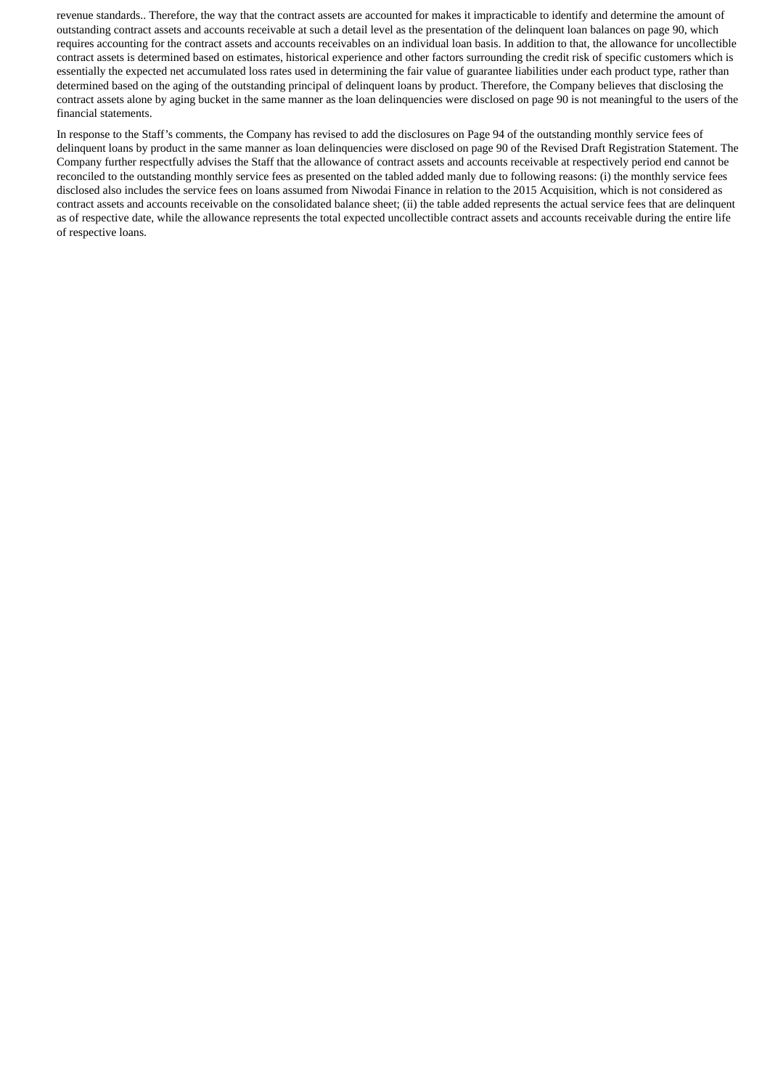revenue standards.. Therefore, the way that the contract assets are accounted for makes it impracticable to identify and determine the amount of outstanding contract assets and accounts receivable at such a detail level as the presentation of the delinquent loan balances on page 90, which requires accounting for the contract assets and accounts receivables on an individual loan basis. In addition to that, the allowance for uncollectible contract assets is determined based on estimates, historical experience and other factors surrounding the credit risk of specific customers which is essentially the expected net accumulated loss rates used in determining the fair value of guarantee liabilities under each product type, rather than determined based on the aging of the outstanding principal of delinquent loans by product. Therefore, the Company believes that disclosing the contract assets alone by aging bucket in the same manner as the loan delinquencies were disclosed on page 90 is not meaningful to the users of the financial statements.

In response to the Staff's comments, the Company has revised to add the disclosures on Page 94 of the outstanding monthly service fees of delinquent loans by product in the same manner as loan delinquencies were disclosed on page 90 of the Revised Draft Registration Statement. The Company further respectfully advises the Staff that the allowance of contract assets and accounts receivable at respectively period end cannot be reconciled to the outstanding monthly service fees as presented on the tabled added manly due to following reasons: (i) the monthly service fees disclosed also includes the service fees on loans assumed from Niwodai Finance in relation to the 2015 Acquisition, which is not considered as contract assets and accounts receivable on the consolidated balance sheet; (ii) the table added represents the actual service fees that are delinquent as of respective date, while the allowance represents the total expected uncollectible contract assets and accounts receivable during the entire life of respective loans.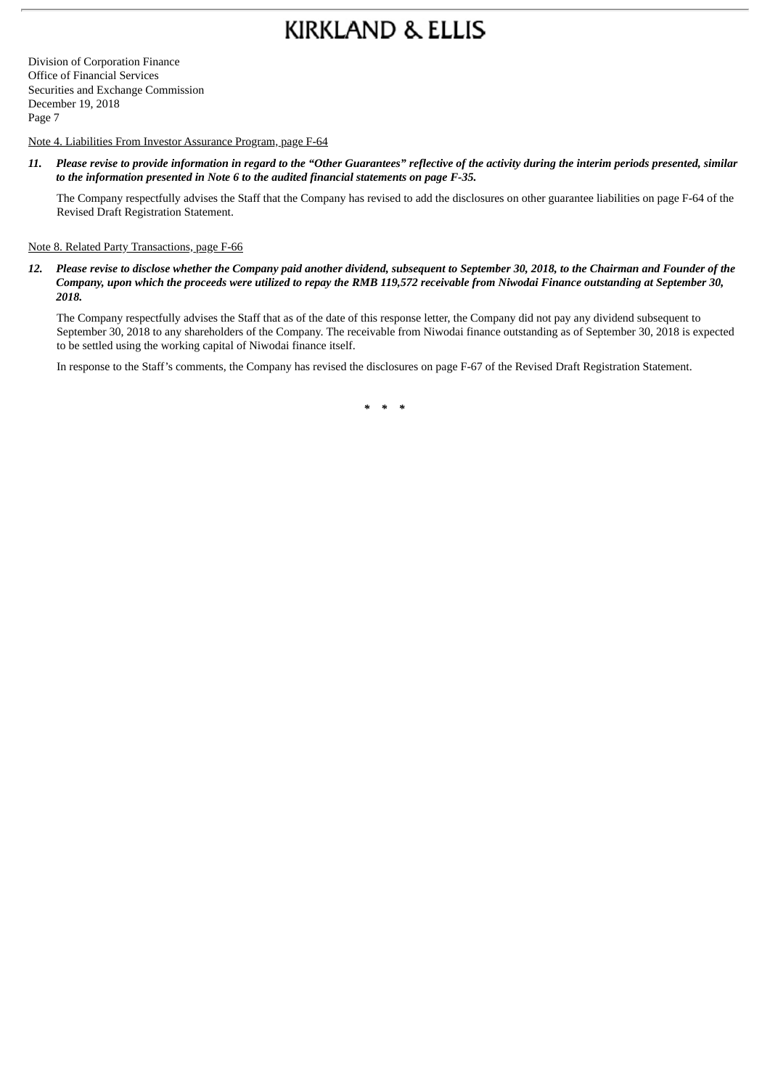Division of Corporation Finance Office of Financial Services Securities and Exchange Commission December 19, 2018 Page 7

### Note 4. Liabilities From Investor Assurance Program, page F-64

11. Please revise to provide information in regard to the "Other Guarantees" reflective of the activity during the interim periods presented, similar *to the information presented in Note 6 to the audited financial statements on page F-35.*

The Company respectfully advises the Staff that the Company has revised to add the disclosures on other guarantee liabilities on page F-64 of the Revised Draft Registration Statement.

#### Note 8. Related Party Transactions, page F-66

12. Please revise to disclose whether the Company paid another dividend, subsequent to September 30, 2018, to the Chairman and Founder of the Company, upon which the proceeds were utilized to repay the RMB 119,572 receivable from Niwodai Finance outstanding at September 30, *2018.*

The Company respectfully advises the Staff that as of the date of this response letter, the Company did not pay any dividend subsequent to September 30, 2018 to any shareholders of the Company. The receivable from Niwodai finance outstanding as of September 30, 2018 is expected to be settled using the working capital of Niwodai finance itself.

In response to the Staff's comments, the Company has revised the disclosures on page F-67 of the Revised Draft Registration Statement.

*\* \* \**